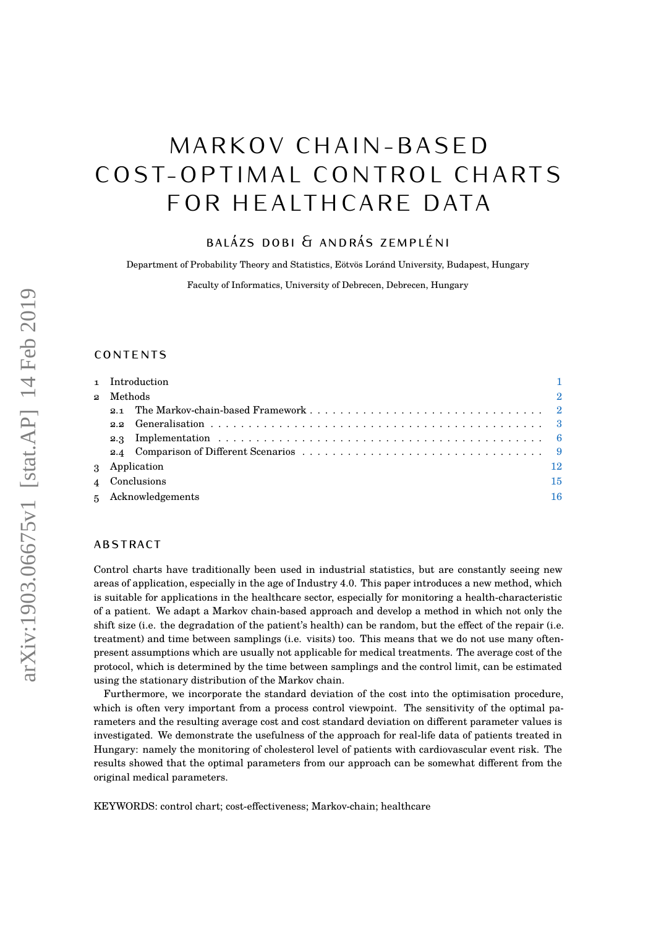# MARKOV CHAIN-BASED COST-OPTIMAL CONTROL CHARTS FOR HEALTHCARE DATA

# balázs dobi & andrás zempléni

Department of Probability Theory and Statistics, Eötvös Loránd University, Budapest, Hungary

Faculty of Informatics, University of Debrecen, Debrecen, Hungary

## **CONTENTS**

| 1 Introduction              |               |    |  |  |  |
|-----------------------------|---------------|----|--|--|--|
| $\overline{2}$<br>2 Methods |               |    |  |  |  |
| 2.1                         |               |    |  |  |  |
|                             |               |    |  |  |  |
|                             |               |    |  |  |  |
|                             |               |    |  |  |  |
|                             | 3 Application | 12 |  |  |  |
| 4 Conclusions<br>15         |               |    |  |  |  |
| 5 Acknowledgements<br>16    |               |    |  |  |  |
|                             |               |    |  |  |  |

# **ABSTRACT**

Control charts have traditionally been used in industrial statistics, but are constantly seeing new areas of application, especially in the age of Industry 4.0. This paper introduces a new method, which is suitable for applications in the healthcare sector, especially for monitoring a health-characteristic of a patient. We adapt a Markov chain-based approach and develop a method in which not only the shift size (i.e. the degradation of the patient's health) can be random, but the effect of the repair (i.e. treatment) and time between samplings (i.e. visits) too. This means that we do not use many oftenpresent assumptions which are usually not applicable for medical treatments. The average cost of the protocol, which is determined by the time between samplings and the control limit, can be estimated using the stationary distribution of the Markov chain.

Furthermore, we incorporate the standard deviation of the cost into the optimisation procedure, which is often very important from a process control viewpoint. The sensitivity of the optimal parameters and the resulting average cost and cost standard deviation on different parameter values is investigated. We demonstrate the usefulness of the approach for real-life data of patients treated in Hungary: namely the monitoring of cholesterol level of patients with cardiovascular event risk. The results showed that the optimal parameters from our approach can be somewhat different from the original medical parameters.

KEYWORDS: control chart; cost-effectiveness; Markov-chain; healthcare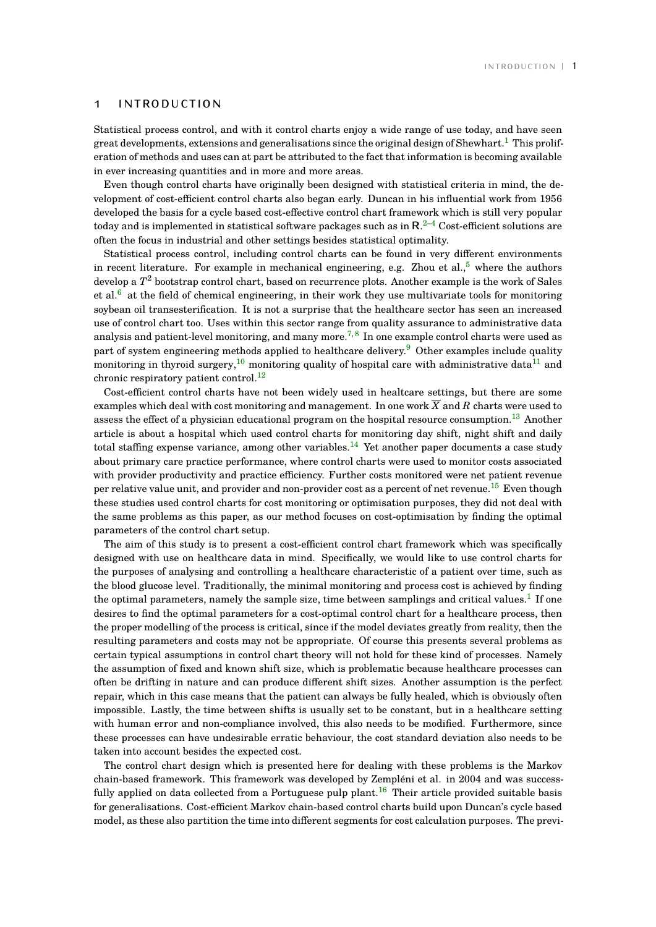### <span id="page-1-0"></span>1 introduction

Statistical process control, and with it control charts enjoy a wide range of use today, and have seen great developments, extensions and generalisations since the original design of Shewhart.<sup>[1](#page-16-1)</sup> This proliferation of methods and uses can at part be attributed to the fact that information is becoming available in ever increasing quantities and in more and more areas.

Even though control charts have originally been designed with statistical criteria in mind, the development of cost-efficient control charts also began early. Duncan in his influential work from 1956 developed the basis for a cycle based cost-effective control chart framework which is still very popular today and is implemented in statistical software packages such as in **R**. [2–](#page-17-0)[4](#page-17-1) Cost-efficient solutions are often the focus in industrial and other settings besides statistical optimality.

Statistical process control, including control charts can be found in very different environments in recent literature. For example in mechanical engineering, e.g. Zhou et al.,  $5$  where the authors develop a  $T^2$  bootstrap control chart, based on recurrence plots. Another example is the work of Sales et al. $<sup>6</sup>$  $<sup>6</sup>$  $<sup>6</sup>$  at the field of chemical engineering, in their work they use multivariate tools for monitoring</sup> soybean oil transesterification. It is not a surprise that the healthcare sector has seen an increased use of control chart too. Uses within this sector range from quality assurance to administrative data analysis and patient-level monitoring, and many more.<sup>[7,](#page-17-4)[8](#page-17-5)</sup> In one example control charts were used as part of system engineering methods applied to healthcare delivery.<sup>[9](#page-17-6)</sup> Other examples include quality monitoring in thyroid surgery,<sup>[10](#page-17-7)</sup> monitoring quality of hospital care with administrative data<sup>[11](#page-17-8)</sup> and chronic respiratory patient control.<sup>[12](#page-17-9)</sup>

Cost-efficient control charts have not been widely used in healtcare settings, but there are some examples which deal with cost monitoring and management. In one work  $\overline{X}$  and  $R$  charts were used to assess the effect of a physician educational program on the hospital resource consumption.<sup>[13](#page-17-10)</sup> Another article is about a hospital which used control charts for monitoring day shift, night shift and daily total staffing expense variance, among other variables.<sup>[14](#page-17-11)</sup> Yet another paper documents a case study about primary care practice performance, where control charts were used to monitor costs associated with provider productivity and practice efficiency. Further costs monitored were net patient revenue per relative value unit, and provider and non-provider cost as a percent of net revenue.<sup>[15](#page-17-12)</sup> Even though these studies used control charts for cost monitoring or optimisation purposes, they did not deal with the same problems as this paper, as our method focuses on cost-optimisation by finding the optimal parameters of the control chart setup.

The aim of this study is to present a cost-efficient control chart framework which was specifically designed with use on healthcare data in mind. Specifically, we would like to use control charts for the purposes of analysing and controlling a healthcare characteristic of a patient over time, such as the blood glucose level. Traditionally, the minimal monitoring and process cost is achieved by finding the optimal parameters, namely the sample size, time between samplings and critical values.<sup>[1](#page-16-1)</sup> If one desires to find the optimal parameters for a cost-optimal control chart for a healthcare process, then the proper modelling of the process is critical, since if the model deviates greatly from reality, then the resulting parameters and costs may not be appropriate. Of course this presents several problems as certain typical assumptions in control chart theory will not hold for these kind of processes. Namely the assumption of fixed and known shift size, which is problematic because healthcare processes can often be drifting in nature and can produce different shift sizes. Another assumption is the perfect repair, which in this case means that the patient can always be fully healed, which is obviously often impossible. Lastly, the time between shifts is usually set to be constant, but in a healthcare setting with human error and non-compliance involved, this also needs to be modified. Furthermore, since these processes can have undesirable erratic behaviour, the cost standard deviation also needs to be taken into account besides the expected cost.

The control chart design which is presented here for dealing with these problems is the Markov chain-based framework. This framework was developed by Zempléni et al. in 2004 and was success-fully applied on data collected from a Portuguese pulp plant.<sup>[16](#page-17-13)</sup> Their article provided suitable basis for generalisations. Cost-efficient Markov chain-based control charts build upon Duncan's cycle based model, as these also partition the time into different segments for cost calculation purposes. The previ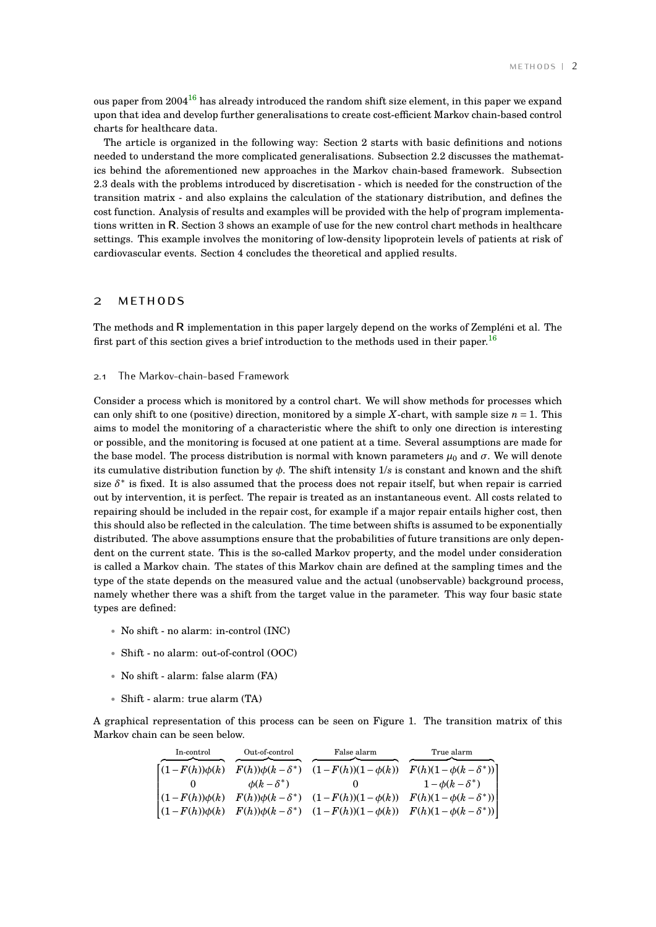ous paper from 2004 $^{16}$  $^{16}$  $^{16}$  has already introduced the random shift size element, in this paper we expand upon that idea and develop further generalisations to create cost-efficient Markov chain-based control charts for healthcare data.

The article is organized in the following way: Section 2 starts with basic definitions and notions needed to understand the more complicated generalisations. Subsection 2.2 discusses the mathematics behind the aforementioned new approaches in the Markov chain-based framework. Subsection 2.3 deals with the problems introduced by discretisation - which is needed for the construction of the transition matrix - and also explains the calculation of the stationary distribution, and defines the cost function. Analysis of results and examples will be provided with the help of program implementations written in **R**. Section 3 shows an example of use for the new control chart methods in healthcare settings. This example involves the monitoring of low-density lipoprotein levels of patients at risk of cardiovascular events. Section 4 concludes the theoretical and applied results.

# <span id="page-2-0"></span>2 methods

<span id="page-2-1"></span>The methods and **R** implementation in this paper largely depend on the works of Zempléni et al. The first part of this section gives a brief introduction to the methods used in their paper.<sup>[16](#page-17-13)</sup>

#### 2.1 The Markov-chain-based Framework

Consider a process which is monitored by a control chart. We will show methods for processes which can only shift to one (positive) direction, monitored by a simple *X*-chart, with sample size  $n = 1$ . This aims to model the monitoring of a characteristic where the shift to only one direction is interesting or possible, and the monitoring is focused at one patient at a time. Several assumptions are made for the base model. The process distribution is normal with known parameters  $\mu_0$  and  $\sigma$ . We will denote its cumulative distribution function by *φ*. The shift intensity 1/*s* is constant and known and the shift size  $\delta^*$  is fixed. It is also assumed that the process does not repair itself, but when repair is carried out by intervention, it is perfect. The repair is treated as an instantaneous event. All costs related to repairing should be included in the repair cost, for example if a major repair entails higher cost, then this should also be reflected in the calculation. The time between shifts is assumed to be exponentially distributed. The above assumptions ensure that the probabilities of future transitions are only dependent on the current state. This is the so-called Markov property, and the model under consideration is called a Markov chain. The states of this Markov chain are defined at the sampling times and the type of the state depends on the measured value and the actual (unobservable) background process, namely whether there was a shift from the target value in the parameter. This way four basic state types are defined:

- No shift no alarm: in-control (INC)
- Shift no alarm: out-of-control (OOC)
- No shift alarm: false alarm (FA)
- Shift alarm: true alarm (TA)

A graphical representation of this process can be seen on Figure 1. The transition matrix of this Markov chain can be seen below.

| In-control | Out-of-control     | False alarm                                                                                                                       | True alarm           |
|------------|--------------------|-----------------------------------------------------------------------------------------------------------------------------------|----------------------|
|            |                    | $\left[ (1 - F(h))\phi(k) \quad F(h))\phi(k - \delta^*) \quad (1 - F(h))(1 - \phi(k)) \quad F(h)(1 - \phi(k - \delta^*)) \right]$ |                      |
|            | $\phi(k-\delta^*)$ |                                                                                                                                   | $1-\phi(k-\delta^*)$ |
|            |                    | $ (1 - F(h))\phi(k) \quad F(h))\phi(k - \delta^*) \quad (1 - F(h))(1 - \phi(k)) \quad F(h)(1 - \phi(k - \delta^*))$               |                      |
|            |                    | $ (1 - F(h))\phi(k) - F(h))\phi(k - \delta^*) - (1 - F(h))(1 - \phi(k)) - F(h)(1 - \phi(k - \delta^*)) $                          |                      |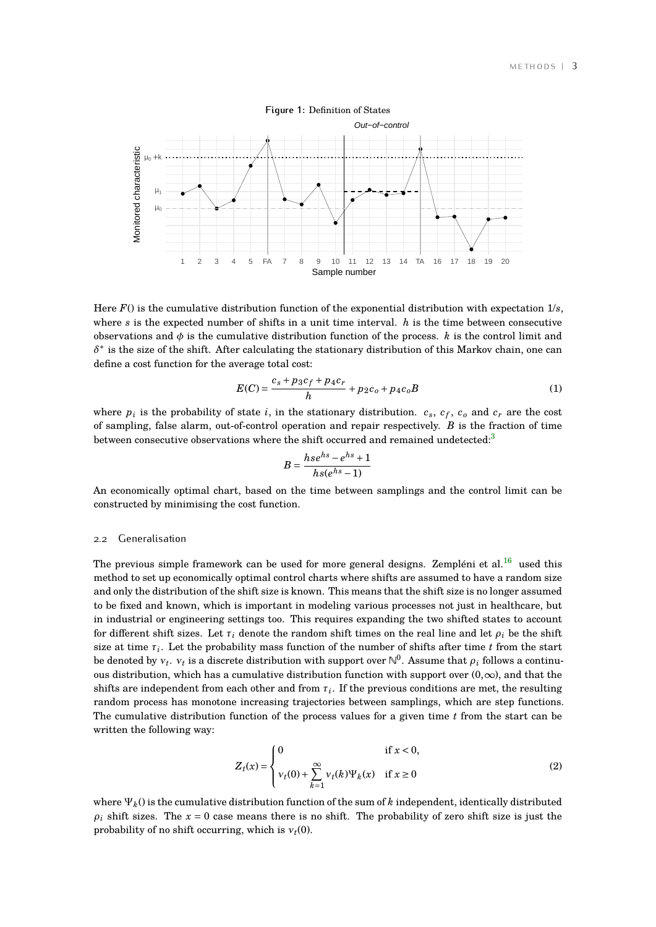#### **Figure 1:** Definition of States



Here *F*() is the cumulative distribution function of the exponential distribution with expectation 1/*s*, where *s* is the expected number of shifts in a unit time interval. *h* is the time between consecutive observations and  $\phi$  is the cumulative distribution function of the process.  $k$  is the control limit and  $\delta^*$  is the size of the shift. After calculating the stationary distribution of this Markov chain, one can define a cost function for the average total cost:

$$
E(C) = \frac{c_s + p_3 c_f + p_4 c_r}{h} + p_2 c_o + p_4 c_o B \tag{1}
$$

where  $p_i$  is the probability of state *i*, in the stationary distribution.  $c_s$ ,  $c_f$ ,  $c_o$  and  $c_r$  are the cost of sampling, false alarm, out-of-control operation and repair respectively. *B* is the fraction of time between consecutive observations where the shift occurred and remained undetected: $3$ 

$$
B = \frac{hse^{hs} - e^{hs} + 1}{h s(e^{hs} - 1)}
$$

<span id="page-3-0"></span>An economically optimal chart, based on the time between samplings and the control limit can be constructed by minimising the cost function.

#### 2.2 Generalisation

The previous simple framework can be used for more general designs. Zempléni et al.<sup>[16](#page-17-13)</sup> used this method to set up economically optimal control charts where shifts are assumed to have a random size and only the distribution of the shift size is known. This means that the shift size is no longer assumed to be fixed and known, which is important in modeling various processes not just in healthcare, but in industrial or engineering settings too. This requires expanding the two shifted states to account for different shift sizes. Let  $\tau_i$  denote the random shift times on the real line and let  $\rho_i$  be the shift size at time  $\tau_i$ . Let the probability mass function of the number of shifts after time  $t$  from the start be denoted by  $v_t$ .  $v_t$  is a discrete distribution with support over  $\mathbb{N}^0$ . Assume that  $\rho_i$  follows a continuous distribution, which has a cumulative distribution function with support over  $(0, \infty)$ , and that the shifts are independent from each other and from  $\tau_i$ . If the previous conditions are met, the resulting random process has monotone increasing trajectories between samplings, which are step functions. The cumulative distribution function of the process values for a given time *t* from the start can be written the following way:

$$
Z_t(x) = \begin{cases} 0 & \text{if } x < 0, \\ v_t(0) + \sum_{k=1}^{\infty} v_t(k)\Psi_k(x) & \text{if } x \ge 0 \end{cases}
$$
 (2)

where  $\Psi_k$ () is the cumulative distribution function of the sum of *k* independent, identically distributed  $\rho_i$  shift sizes. The  $x = 0$  case means there is no shift. The probability of zero shift size is just the probability of no shift occurring, which is  $v_t(0)$ .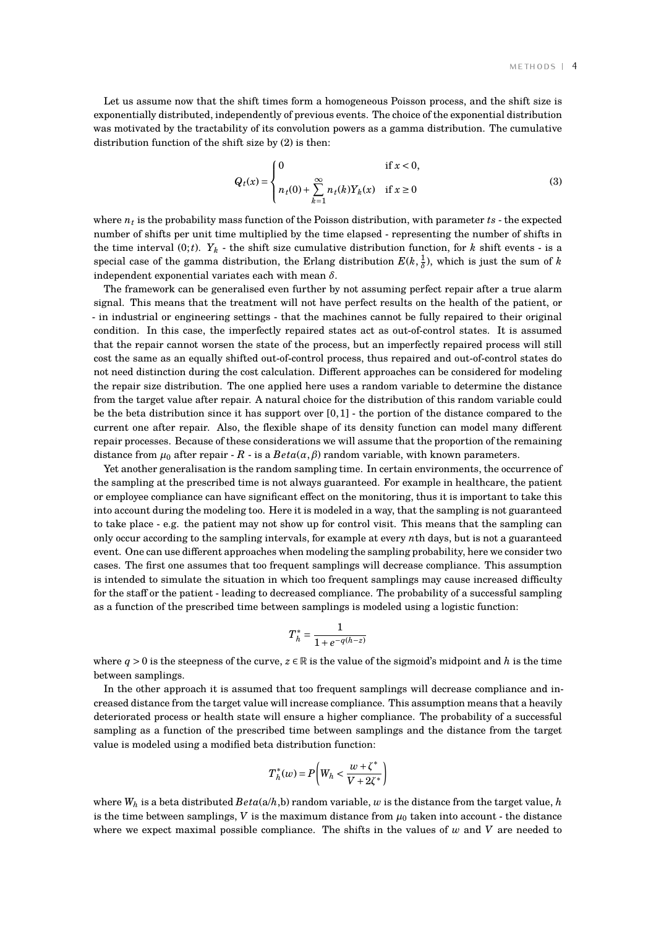Let us assume now that the shift times form a homogeneous Poisson process, and the shift size is exponentially distributed, independently of previous events. The choice of the exponential distribution was motivated by the tractability of its convolution powers as a gamma distribution. The cumulative distribution function of the shift size by (2) is then:

$$
Q_{t}(x) = \begin{cases} 0 & \text{if } x < 0, \\ n_{t}(0) + \sum_{k=1}^{\infty} n_{t}(k)Y_{k}(x) & \text{if } x \ge 0 \end{cases}
$$
(3)

where  $n_t$  is the probability mass function of the Poisson distribution, with parameter  $ts$  - the expected number of shifts per unit time multiplied by the time elapsed - representing the number of shifts in the time interval  $(0; t)$ .  $Y_k$  - the shift size cumulative distribution function, for *k* shift events - is a special case of the gamma distribution, the Erlang distribution  $E(k, \frac{1}{\delta})$ , which is just the sum of *k* independent exponential variates each with mean *δ*.

The framework can be generalised even further by not assuming perfect repair after a true alarm signal. This means that the treatment will not have perfect results on the health of the patient, or - in industrial or engineering settings - that the machines cannot be fully repaired to their original condition. In this case, the imperfectly repaired states act as out-of-control states. It is assumed that the repair cannot worsen the state of the process, but an imperfectly repaired process will still cost the same as an equally shifted out-of-control process, thus repaired and out-of-control states do not need distinction during the cost calculation. Different approaches can be considered for modeling the repair size distribution. The one applied here uses a random variable to determine the distance from the target value after repair. A natural choice for the distribution of this random variable could be the beta distribution since it has support over  $[0,1]$  - the portion of the distance compared to the current one after repair. Also, the flexible shape of its density function can model many different repair processes. Because of these considerations we will assume that the proportion of the remaining distance from  $\mu_0$  after repair -  $R$  - is a  $Beta(\alpha, \beta)$  random variable, with known parameters.

Yet another generalisation is the random sampling time. In certain environments, the occurrence of the sampling at the prescribed time is not always guaranteed. For example in healthcare, the patient or employee compliance can have significant effect on the monitoring, thus it is important to take this into account during the modeling too. Here it is modeled in a way, that the sampling is not guaranteed to take place - e.g. the patient may not show up for control visit. This means that the sampling can only occur according to the sampling intervals, for example at every *n*th days, but is not a guaranteed event. One can use different approaches when modeling the sampling probability, here we consider two cases. The first one assumes that too frequent samplings will decrease compliance. This assumption is intended to simulate the situation in which too frequent samplings may cause increased difficulty for the staff or the patient - leading to decreased compliance. The probability of a successful sampling as a function of the prescribed time between samplings is modeled using a logistic function:

$$
T_h^* = \frac{1}{1+e^{-q(h-z)}}
$$

where  $q > 0$  is the steepness of the curve,  $z \in \mathbb{R}$  is the value of the sigmoid's midpoint and h is the time between samplings.

In the other approach it is assumed that too frequent samplings will decrease compliance and increased distance from the target value will increase compliance. This assumption means that a heavily deteriorated process or health state will ensure a higher compliance. The probability of a successful sampling as a function of the prescribed time between samplings and the distance from the target value is modeled using a modified beta distribution function:

$$
T_h^*(w) = P\left(W_h < \frac{w + \zeta^*}{V + 2\zeta^*}\right)
$$

where  $W_h$  is a beta distributed  $Beta(a/h, b)$  random variable, *w* is the distance from the target value, *h* is the time between samplings,  $V$  is the maximum distance from  $\mu_0$  taken into account - the distance where we expect maximal possible compliance. The shifts in the values of *w* and *V* are needed to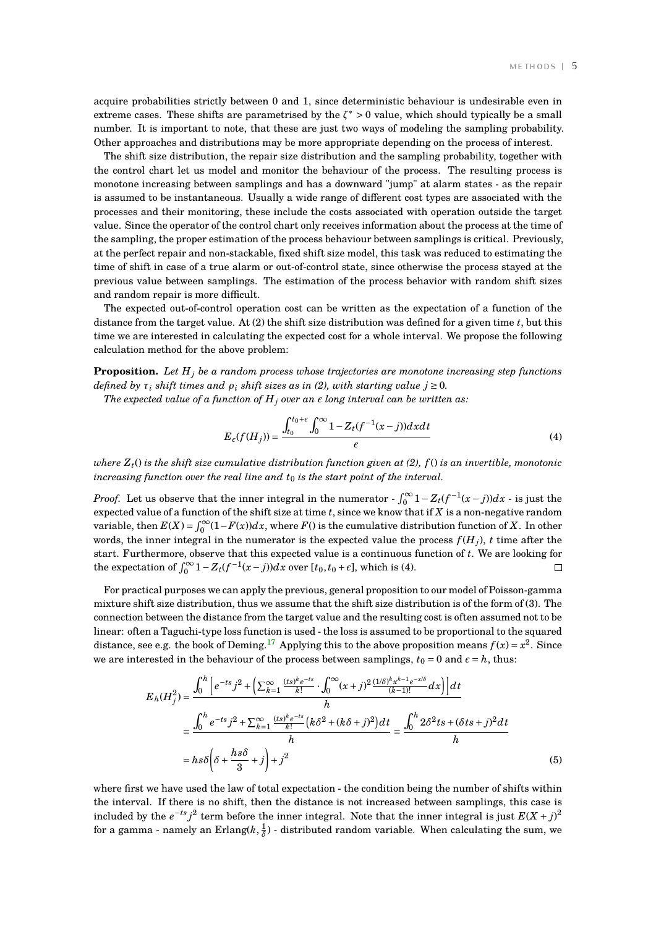acquire probabilities strictly between 0 and 1, since deterministic behaviour is undesirable even in extreme cases. These shifts are parametrised by the  $\zeta^* > 0$  value, which should typically be a small number. It is important to note, that these are just two ways of modeling the sampling probability. Other approaches and distributions may be more appropriate depending on the process of interest.

The shift size distribution, the repair size distribution and the sampling probability, together with the control chart let us model and monitor the behaviour of the process. The resulting process is monotone increasing between samplings and has a downward "jump" at alarm states - as the repair is assumed to be instantaneous. Usually a wide range of different cost types are associated with the processes and their monitoring, these include the costs associated with operation outside the target value. Since the operator of the control chart only receives information about the process at the time of the sampling, the proper estimation of the process behaviour between samplings is critical. Previously, at the perfect repair and non-stackable, fixed shift size model, this task was reduced to estimating the time of shift in case of a true alarm or out-of-control state, since otherwise the process stayed at the previous value between samplings. The estimation of the process behavior with random shift sizes and random repair is more difficult.

The expected out-of-control operation cost can be written as the expectation of a function of the distance from the target value. At (2) the shift size distribution was defined for a given time *t*, but this time we are interested in calculating the expected cost for a whole interval. We propose the following calculation method for the above problem:

**Proposition.** *Let H<sup>j</sup> be a random process whose trajectories are monotone increasing step functions defined by*  $\tau_i$  *shift times and*  $\rho_i$  *shift sizes as in (2), with starting value*  $j \ge 0$ *.* 

*The expected value of a function of*  $H_j$  *over an*  $\epsilon$  *long interval can be written as:* 

$$
E_{\epsilon}(f(H_j)) = \frac{\int_{t_0}^{t_0+\epsilon} \int_0^{\infty} 1 - Z_t(f^{-1}(x-j)) dx dt}{\epsilon}
$$
 (4)

*where*  $Z_t$ ) *is the shift size cumulative distribution function given at (2),*  $f$ *) <i>is an invertible, monotonic increasing function over the real line and*  $t_0$  *is the start point of the interval.* 

*Proof.* Let us observe that the inner integral in the numerator -  $\int_0^\infty 1 - Z_t(f^{-1}(x-j))dx$  - is just the expected value of a function of the shift size at time *t*, since we know that if *X* is a non-negative random variable, then  $E(X) = \int_0^\infty (1 - F(x)) dx$ , where  $F()$  is the cumulative distribution function of X. In other words, the inner integral in the numerator is the expected value the process  $f(H_i)$ , t time after the start. Furthermore, observe that this expected value is a continuous function of *t*. We are looking for the expectation of  $\int_0^\infty 1 - Z_t(f^{-1}(x-j))dx$  over  $[t_0, t_0 + \epsilon]$ , which is (4).  $\Box$ 

For practical purposes we can apply the previous, general proposition to our model of Poisson-gamma mixture shift size distribution, thus we assume that the shift size distribution is of the form of (3). The connection between the distance from the target value and the resulting cost is often assumed not to be linear: often a Taguchi-type loss function is used - the loss is assumed to be proportional to the squared distance, see e.g. the book of Deming.<sup>[17](#page-17-15)</sup> Applying this to the above proposition means  $f(x) = x^2$ . Since we are interested in the behaviour of the process between samplings,  $t_0 = 0$  and  $\epsilon = h$ , thus:

$$
E_h(H_j^2) = \frac{\int_0^h \left[ e^{-ts} j^2 + \left( \sum_{k=1}^\infty \frac{(ts)^k e^{-ts}}{k!} \cdot \int_0^\infty (x+j)^2 \frac{(1/\delta)^k x^{k-1} e^{-x/\delta}}{(k-1)!} dx \right) \right] dt}{h}
$$
  
\n
$$
= \frac{\int_0^h e^{-ts} j^2 + \sum_{k=1}^\infty \frac{(ts)^k e^{-ts}}{k!} \left( k\delta^2 + (k\delta + j)^2 \right) dt}{h} = \frac{\int_0^h 2\delta^2 ts + (\delta ts + j)^2 dt}{h}
$$
  
\n
$$
= h s \delta \left( \delta + \frac{h s \delta}{3} + j \right) + j^2
$$
 (5)

where first we have used the law of total expectation - the condition being the number of shifts within the interval. If there is no shift, then the distance is not increased between samplings, this case is included by the  $e^{-ts}j^2$  term before the inner integral. Note that the inner integral is just  $E(X + j)^2$ for a gamma - namely an Erlang( $k, \frac{1}{\delta}$ ) - distributed random variable. When calculating the sum, we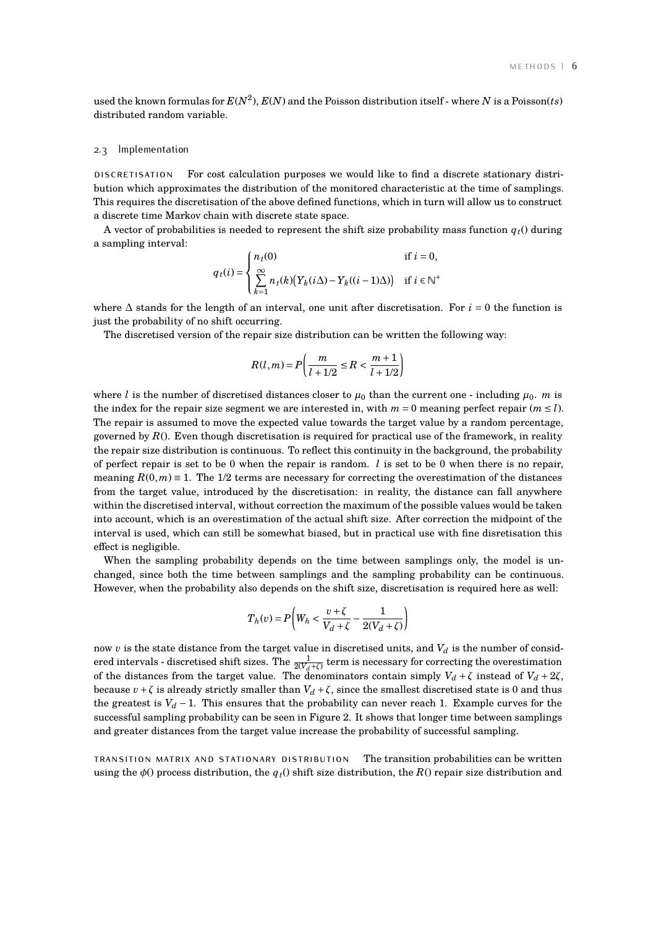<span id="page-6-0"></span>used the known formulas for  $E(N^2), E(N)$  and the Poisson distribution itself - where  $N$  is a Poisson( $ts$ ) distributed random variable.

#### 2.3 Implementation

discretisation For cost calculation purposes we would like to find a discrete stationary distribution which approximates the distribution of the monitored characteristic at the time of samplings. This requires the discretisation of the above defined functions, which in turn will allow us to construct a discrete time Markov chain with discrete state space.

A vector of probabilities is needed to represent the shift size probability mass function  $q_t()$  during a sampling interval:

$$
q_t(i) = \begin{cases} n_t(0) & \text{if } i = 0, \\ \sum_{k=1}^{\infty} n_t(k) \big( Y_k(i\Delta) - Y_k((i-1)\Delta) \big) & \text{if } i \in \mathbb{N}^+ \end{cases}
$$

where ∆ stands for the length of an interval, one unit after discretisation. For *i* = 0 the function is just the probability of no shift occurring.

The discretised version of the repair size distribution can be written the following way:

$$
R(l,m) = P\left(\frac{m}{l+1/2} \le R < \frac{m+1}{l+1/2}\right)
$$

where *l* is the number of discretised distances closer to  $\mu_0$  than the current one - including  $\mu_0$ . *m* is the index for the repair size segment we are interested in, with  $m = 0$  meaning perfect repair  $(m \leq l)$ . The repair is assumed to move the expected value towards the target value by a random percentage, governed by  $R()$ . Even though discretisation is required for practical use of the framework, in reality the repair size distribution is continuous. To reflect this continuity in the background, the probability of perfect repair is set to be 0 when the repair is random. *l* is set to be 0 when there is no repair, meaning  $R(0,m) = 1$ . The 1/2 terms are necessary for correcting the overestimation of the distances from the target value, introduced by the discretisation: in reality, the distance can fall anywhere within the discretised interval, without correction the maximum of the possible values would be taken into account, which is an overestimation of the actual shift size. After correction the midpoint of the interval is used, which can still be somewhat biased, but in practical use with fine disretisation this effect is negligible.

When the sampling probability depends on the time between samplings only, the model is unchanged, since both the time between samplings and the sampling probability can be continuous. However, when the probability also depends on the shift size, discretisation is required here as well:

$$
T_h(v) = P\left(W_h < \frac{v + \zeta}{V_d + \zeta} - \frac{1}{2(V_d + \zeta)}\right)
$$

now *v* is the state distance from the target value in discretised units, and  $V_d$  is the number of considered intervals - discretised shift sizes. The  $\frac{1}{2(V_d+\zeta)}$  term is necessary for correcting the overestimation of the distances from the target value. The denominators contain simply  $V_d + \zeta$  instead of  $V_d + 2\zeta$ , because  $v + \zeta$  is already strictly smaller than  $V_d + \zeta$ , since the smallest discretised state is 0 and thus the greatest is  $V_d - 1$ . This ensures that the probability can never reach 1. Example curves for the successful sampling probability can be seen in Figure 2. It shows that longer time between samplings and greater distances from the target value increase the probability of successful sampling.

transition matrix and stationary distribution The transition probabilities can be written using the  $\phi$ () process distribution, the  $q_t$ () shift size distribution, the *R*() repair size distribution and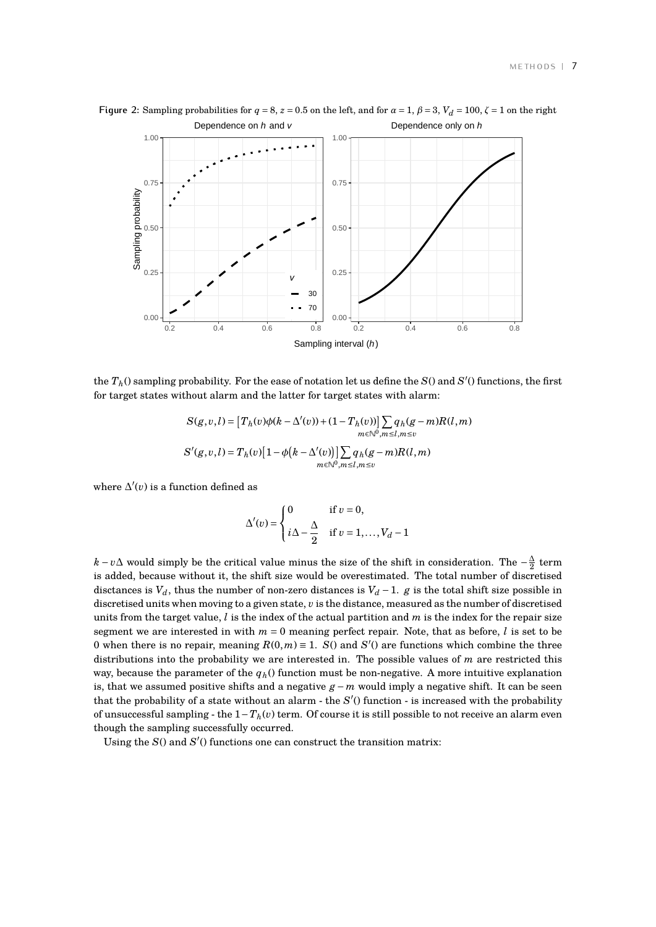

**Figure 2:** Sampling probabilities for  $q = 8$ ,  $z = 0.5$  on the left, and for  $\alpha = 1$ ,  $\beta = 3$ ,  $V_d = 100$ ,  $\zeta = 1$  on the right

the  $T_h$ () sampling probability. For the ease of notation let us define the  $S$ () and  $S'$ () functions, the first for target states without alarm and the latter for target states with alarm:

$$
S(g, v, l) = [T_h(v)\phi(k - \Delta'(v)) + (1 - T_h(v))] \sum_{m \in \mathbb{N}^0, m \le l, m \le v} q_h(g - m)R(l, m)
$$
  

$$
S'(g, v, l) = T_h(v)[1 - \phi(k - \Delta'(v))] \sum_{m \in \mathbb{N}^0, m \le l, m \le v} q_h(g - m)R(l, m)
$$

where  $\Delta'(v)$  is a function defined as

$$
\Delta'(v) = \begin{cases} 0 & \text{if } v = 0, \\ i\Delta - \frac{\Delta}{2} & \text{if } v = 1, \dots, V_d - 1 \end{cases}
$$

*k* − *v*∆ would simply be the critical value minus the size of the shift in consideration. The − $\frac{\Delta}{2}$  term is added, because without it, the shift size would be overestimated. The total number of discretised disctances is  $V_d$ , thus the number of non-zero distances is  $V_d - 1$ . *g* is the total shift size possible in discretised units when moving to a given state, *v* is the distance, measured as the number of discretised units from the target value, *l* is the index of the actual partition and *m* is the index for the repair size segment we are interested in with  $m = 0$  meaning perfect repair. Note, that as before,  $l$  is set to be 0 when there is no repair, meaning  $R(0,m) \equiv 1$ . *S*() and *S'*() are functions which combine the three distributions into the probability we are interested in. The possible values of *m* are restricted this way, because the parameter of the  $q_h$ () function must be non-negative. A more intuitive explanation is, that we assumed positive shifts and a negative  $g - m$  would imply a negative shift. It can be seen that the probability of a state without an alarm - the *S*<sup>'</sup>() function - is increased with the probability of unsuccessful sampling - the 1−*Th*(*v*) term. Of course it is still possible to not receive an alarm even though the sampling successfully occurred.

Using the  $S($ ) and  $S'($ ) functions one can construct the transition matrix: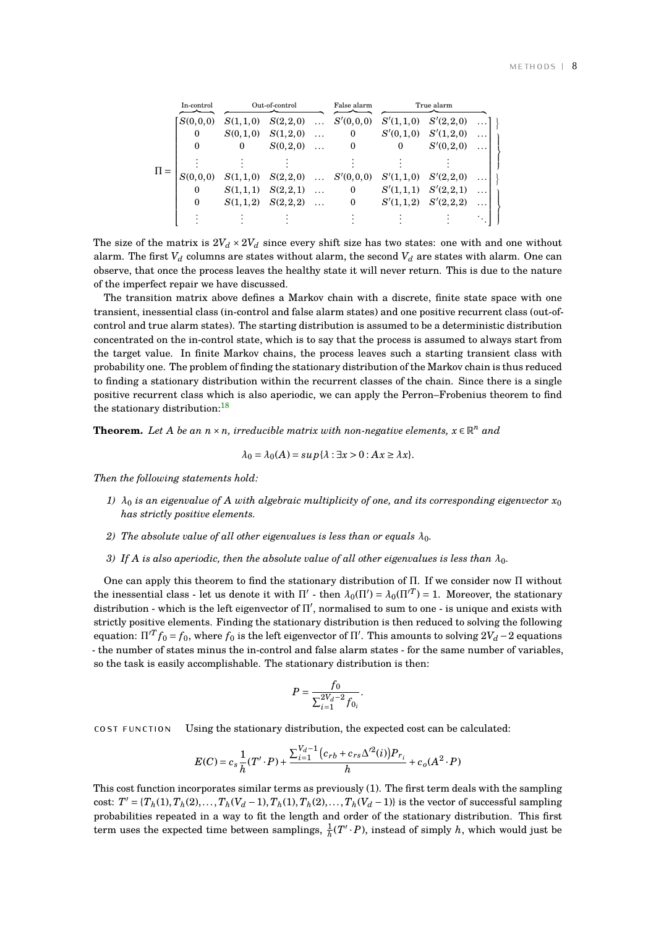o  $\mathbf{r}$  $\left\lfloor \right\rfloor$  $\Big\}$ o  $\mathbf{r}$  $\left\lfloor \right\rfloor$  $\int$ 

|         | In-control | Out-of-control |                       | False alarm | True alarm |           |   |
|---------|------------|----------------|-----------------------|-------------|------------|-----------|---|
|         | S(0,0,0)   | S(1,1,0)       | S(2,2,0)              | S'(0,0,0)   | S'(1,1,0)  | S'(2,2,0) |   |
|         | 0          |                | $S(0,1,0)$ $S(1,2,0)$ | 0           | S'(0,1,0)  | S'(1,2,0) | . |
|         | $\Omega$   | 0              | S(0, 2, 0)            | $\Omega$    | 0          | S'(0,2,0) | . |
|         |            |                |                       |             |            |           |   |
| $\Pi =$ | S(0,0,0)   | S(1,1,0)       | S(2,2,0)              | S'(0,0,0)   | S'(1,1,0)  | S'(2,2,0) |   |
|         | 0          | S(1,1,1)       | S(2,2,1)              | $\Omega$    | S'(1,1,1)  | S'(2,2,1) | . |
|         | 0          | S(1,1,2)       | S(2,2,2)              | $\Omega$    | S'(1,1,2)  | S'(2,2,2) | . |
|         |            |                |                       |             |            |           |   |

The size of the matrix is  $2V_d \times 2V_d$  since every shift size has two states: one with and one without alarm. The first  $V_d$  columns are states without alarm, the second  $V_d$  are states with alarm. One can observe, that once the process leaves the healthy state it will never return. This is due to the nature of the imperfect repair we have discussed.

The transition matrix above defines a Markov chain with a discrete, finite state space with one transient, inessential class (in-control and false alarm states) and one positive recurrent class (out-ofcontrol and true alarm states). The starting distribution is assumed to be a deterministic distribution concentrated on the in-control state, which is to say that the process is assumed to always start from the target value. In finite Markov chains, the process leaves such a starting transient class with probability one. The problem of finding the stationary distribution of the Markov chain is thus reduced to finding a stationary distribution within the recurrent classes of the chain. Since there is a single positive recurrent class which is also aperiodic, we can apply the Perron–Frobenius theorem to find the stationary distribution:<sup>[18](#page-17-16)</sup>

**Theorem.** Let A be an  $n \times n$ , irreducible matrix with non-negative elements,  $x \in \mathbb{R}^n$  and

$$
\lambda_0 = \lambda_0(A) = \sup \{ \lambda : \exists x > 0 : Ax \ge \lambda x \}.
$$

*Then the following statements hold:*

- *1)*  $\lambda_0$  *is an eigenvalue of A with algebraic multiplicity of one, and its corresponding eigenvector*  $x_0$ *has strictly positive elements.*
- *2) The absolute value of all other eigenvalues is less than or equals*  $\lambda_0$ *.*
- *3)* If A is also aperiodic, then the absolute value of all other eigenvalues is less than  $\lambda_0$ .

One can apply this theorem to find the stationary distribution of Π. If we consider now Π without the inessential class - let us denote it with  $\Pi'$  - then  $\lambda_0(\Pi') = \lambda_0(\Pi'^T) = 1$ . Moreover, the stationary distribution - which is the left eigenvector of  $\Pi'$ , normalised to sum to one - is unique and exists with strictly positive elements. Finding the stationary distribution is then reduced to solving the following equation:  $\Pi'^T f_0 = f_0$ , where  $f_0$  is the left eigenvector of  $\Pi'$ . This amounts to solving  $2V_d - 2$  equations - the number of states minus the in-control and false alarm states - for the same number of variables, so the task is easily accomplishable. The stationary distribution is then:

$$
P = \frac{f_0}{\sum_{i=1}^{2V_d - 2} f_{0_i}}.
$$

cost function Using the stationary distribution, the expected cost can be calculated:

$$
E(C) = c_s \frac{1}{h}(T' \cdot P) + \frac{\sum_{i=1}^{V_d - 1} (c_{rb} + c_{rs} \Delta'^2(i)) P_{r_i}}{h} + c_o(A^2 \cdot P)
$$

This cost function incorporates similar terms as previously (1). The first term deals with the sampling cost:  $T' = {T_h(1), T_h(2), ..., T_h(V_d - 1), T_h(1), T_h(2), ..., T_h(V_d - 1)}$  is the vector of successful sampling probabilities repeated in a way to fit the length and order of the stationary distribution. This first term uses the expected time between samplings,  $\frac{1}{h}(T' \cdot P)$ , instead of simply *h*, which would just be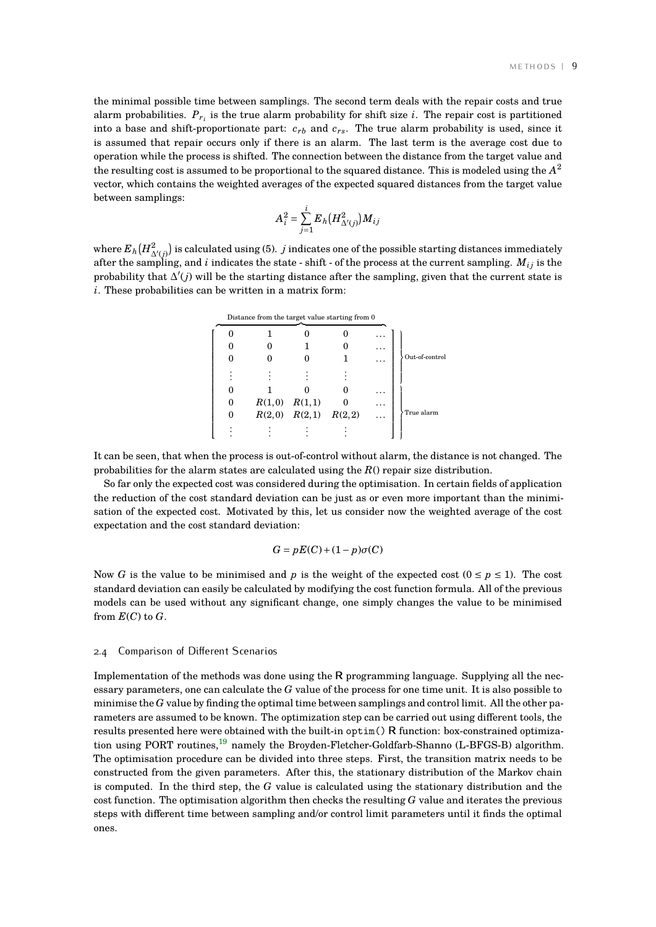the minimal possible time between samplings. The second term deals with the repair costs and true alarm probabilities.  $P_{r_i}$  is the true alarm probability for shift size *i*. The repair cost is partitioned into a base and shift-proportionate part: *crb* and *crs*. The true alarm probability is used, since it is assumed that repair occurs only if there is an alarm. The last term is the average cost due to operation while the process is shifted. The connection between the distance from the target value and the resulting cost is assumed to be proportional to the squared distance. This is modeled using the  $A^2$ vector, which contains the weighted averages of the expected squared distances from the target value between samplings:

$$
A_i^2=\sum_{j=1}^i E_h \big( H_{\Delta'(j)}^2 \big) M_{ij}
$$

where  $E_h\big(H^2_{\Delta'(j)}\big)$  is calculated using (5).  $j$  indicates one of the possible starting distances immediately after the sampling, and *i* indicates the state - shift - of the process at the current sampling.  $M_i$  is the probability that ∆'(*j*) will be the starting distance after the sampling, given that the current state is *i*. These probabilities can be written in a matrix form:

| Distance from the target value starting from 0 |  |                            |  |           |                |
|------------------------------------------------|--|----------------------------|--|-----------|----------------|
|                                                |  |                            |  |           |                |
|                                                |  |                            |  | .         |                |
|                                                |  |                            |  | $\ddotsc$ | Out-of-control |
|                                                |  |                            |  |           |                |
|                                                |  |                            |  |           |                |
| 0                                              |  | $R(1,0)$ $R(1,1)$          |  | .         |                |
| 0                                              |  | $R(2,0)$ $R(2,1)$ $R(2,2)$ |  | $\cdots$  | True alarm     |
|                                                |  |                            |  |           |                |

It can be seen, that when the process is out-of-control without alarm, the distance is not changed. The probabilities for the alarm states are calculated using the *R*() repair size distribution.

So far only the expected cost was considered during the optimisation. In certain fields of application the reduction of the cost standard deviation can be just as or even more important than the minimisation of the expected cost. Motivated by this, let us consider now the weighted average of the cost expectation and the cost standard deviation:

$$
G = pE(C) + (1 - p)\sigma(C)
$$

Now *G* is the value to be minimised and *p* is the weight of the expected cost  $(0 \le p \le 1)$ . The cost standard deviation can easily be calculated by modifying the cost function formula. All of the previous models can be used without any significant change, one simply changes the value to be minimised from  $E(C)$  to  $G$ .

#### <span id="page-9-0"></span>2.4 Comparison of Different Scenarios

Implementation of the methods was done using the **R** programming language. Supplying all the necessary parameters, one can calculate the *G* value of the process for one time unit. It is also possible to minimise the *G* value by finding the optimal time between samplings and control limit. All the other parameters are assumed to be known. The optimization step can be carried out using different tools, the results presented here were obtained with the built-in optim() **R** function: box-constrained optimization using PORT routines,[19](#page-17-17) namely the Broyden-Fletcher-Goldfarb-Shanno (L-BFGS-B) algorithm. The optimisation procedure can be divided into three steps. First, the transition matrix needs to be constructed from the given parameters. After this, the stationary distribution of the Markov chain is computed. In the third step, the *G* value is calculated using the stationary distribution and the cost function. The optimisation algorithm then checks the resulting *G* value and iterates the previous steps with different time between sampling and/or control limit parameters until it finds the optimal ones.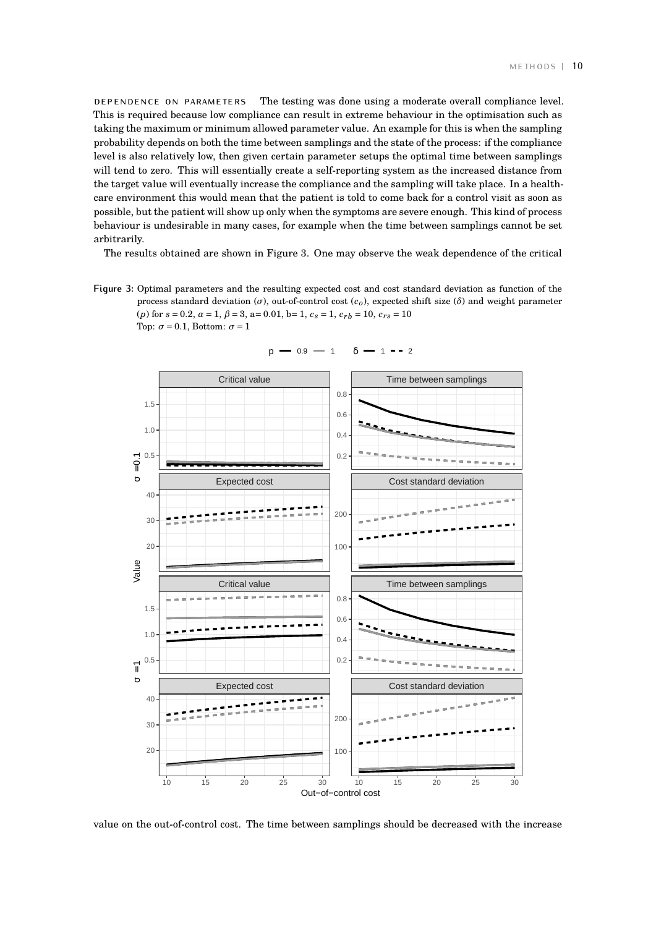dependence on parameters The testing was done using a moderate overall compliance level. This is required because low compliance can result in extreme behaviour in the optimisation such as taking the maximum or minimum allowed parameter value. An example for this is when the sampling probability depends on both the time between samplings and the state of the process: if the compliance level is also relatively low, then given certain parameter setups the optimal time between samplings will tend to zero. This will essentially create a self-reporting system as the increased distance from the target value will eventually increase the compliance and the sampling will take place. In a healthcare environment this would mean that the patient is told to come back for a control visit as soon as possible, but the patient will show up only when the symptoms are severe enough. This kind of process behaviour is undesirable in many cases, for example when the time between samplings cannot be set arbitrarily.

The results obtained are shown in Figure 3. One may observe the weak dependence of the critical

**Figure 3:** Optimal parameters and the resulting expected cost and cost standard deviation as function of the process standard deviation (*σ*), out-of-control cost (*co*), expected shift size (*δ*) and weight parameter (*p*) for *s* = 0.2, *<sup>α</sup>* = 1, *<sup>β</sup>* = 3, a= 0.01, b= 1, *c<sup>s</sup>* = 1, *crb* = 10, *crs* = 10 Top:  $\sigma = 0.1$ , Bottom:  $\sigma = 1$ 



 $-9.9 - 1 \delta - 1 - 2$ 

value on the out-of-control cost. The time between samplings should be decreased with the increase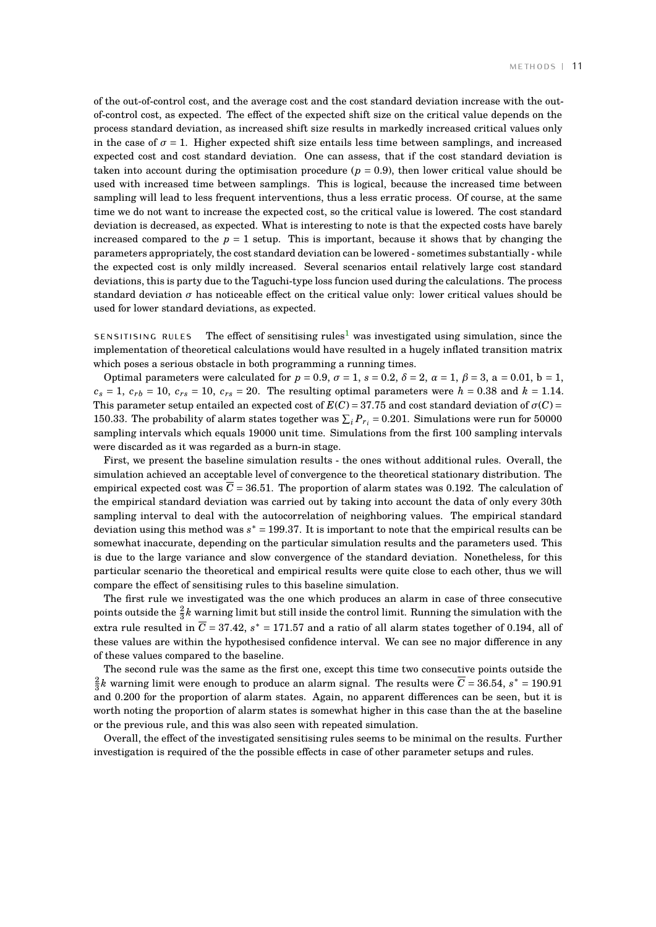of the out-of-control cost, and the average cost and the cost standard deviation increase with the outof-control cost, as expected. The effect of the expected shift size on the critical value depends on the process standard deviation, as increased shift size results in markedly increased critical values only in the case of  $\sigma = 1$ . Higher expected shift size entails less time between samplings, and increased expected cost and cost standard deviation. One can assess, that if the cost standard deviation is taken into account during the optimisation procedure  $(p = 0.9)$ , then lower critical value should be used with increased time between samplings. This is logical, because the increased time between sampling will lead to less frequent interventions, thus a less erratic process. Of course, at the same time we do not want to increase the expected cost, so the critical value is lowered. The cost standard deviation is decreased, as expected. What is interesting to note is that the expected costs have barely increased compared to the  $p = 1$  setup. This is important, because it shows that by changing the parameters appropriately, the cost standard deviation can be lowered - sometimes substantially - while the expected cost is only mildly increased. Several scenarios entail relatively large cost standard deviations, this is party due to the Taguchi-type loss funcion used during the calculations. The process standard deviation  $\sigma$  has noticeable effect on the critical value only: lower critical values should be used for lower standard deviations, as expected.

SENSITISING RULES The effect of sensitising rules<sup>[1](#page-16-1)</sup> was investigated using simulation, since the implementation of theoretical calculations would have resulted in a hugely inflated transition matrix which poses a serious obstacle in both programming a running times.

Optimal parameters were calculated for  $p = 0.9$ ,  $\sigma = 1$ ,  $s = 0.2$ ,  $\delta = 2$ ,  $\alpha = 1$ ,  $\beta = 3$ ,  $\alpha = 0.01$ ,  $b = 1$ ,  $c_s = 1$ ,  $c_{rb} = 10$ ,  $c_{rs} = 10$ ,  $c_{rs} = 20$ . The resulting optimal parameters were  $h = 0.38$  and  $k = 1.14$ . This parameter setup entailed an expected cost of  $E(C) = 37.75$  and cost standard deviation of  $\sigma(C) =$ 150.33. The probability of alarm states together was  $\sum_i P_{r_i} = 0.201$ . Simulations were run for 50000 sampling intervals which equals 19000 unit time. Simulations from the first 100 sampling intervals were discarded as it was regarded as a burn-in stage.

First, we present the baseline simulation results - the ones without additional rules. Overall, the simulation achieved an acceptable level of convergence to the theoretical stationary distribution. The empirical expected cost was  $\overline{C}$  = 36.51. The proportion of alarm states was 0.192. The calculation of the empirical standard deviation was carried out by taking into account the data of only every 30th sampling interval to deal with the autocorrelation of neighboring values. The empirical standard deviation using this method was  $s^* = 199.37$ . It is important to note that the empirical results can be somewhat inaccurate, depending on the particular simulation results and the parameters used. This is due to the large variance and slow convergence of the standard deviation. Nonetheless, for this particular scenario the theoretical and empirical results were quite close to each other, thus we will compare the effect of sensitising rules to this baseline simulation.

The first rule we investigated was the one which produces an alarm in case of three consecutive points outside the  $\frac{2}{3}k$  warning limit but still inside the control limit. Running the simulation with the extra rule resulted in  $\overline{C}$  = 37.42,  $s^*$  = 171.57 and a ratio of all alarm states together of 0.194, all of these values are within the hypothesised confidence interval. We can see no major difference in any of these values compared to the baseline.

The second rule was the same as the first one, except this time two consecutive points outside the  $\frac{2}{3}k$  warning limit were enough to produce an alarm signal. The results were  $\overline{C}$  = 36.54,  $s^*$  = 190.91 and 0.200 for the proportion of alarm states. Again, no apparent differences can be seen, but it is worth noting the proportion of alarm states is somewhat higher in this case than the at the baseline or the previous rule, and this was also seen with repeated simulation.

<span id="page-11-0"></span>Overall, the effect of the investigated sensitising rules seems to be minimal on the results. Further investigation is required of the the possible effects in case of other parameter setups and rules.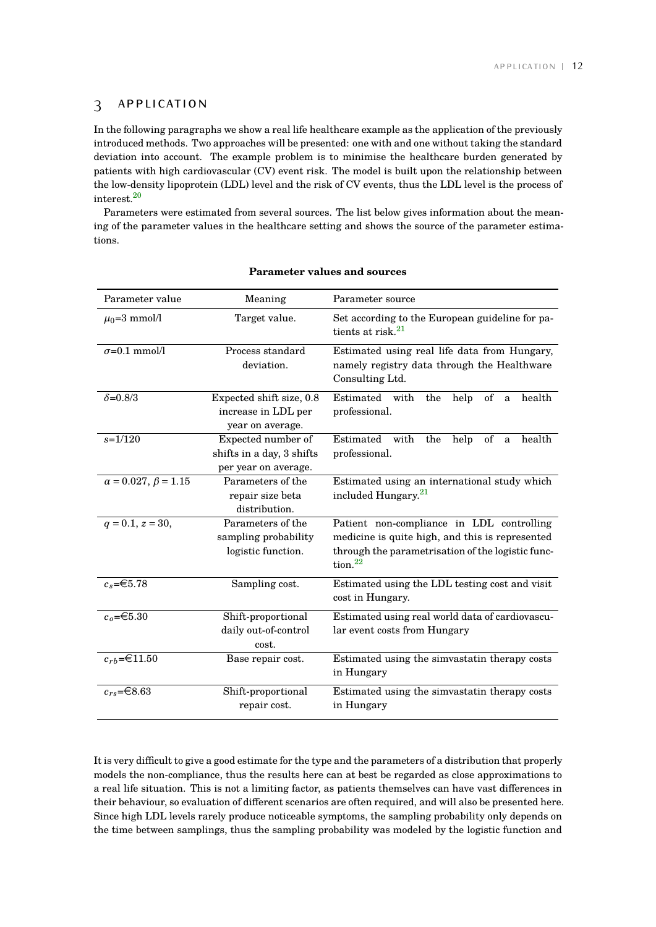# 3 application

In the following paragraphs we show a real life healthcare example as the application of the previously introduced methods. Two approaches will be presented: one with and one without taking the standard deviation into account. The example problem is to minimise the healthcare burden generated by patients with high cardiovascular (CV) event risk. The model is built upon the relationship between the low-density lipoprotein (LDL) level and the risk of CV events, thus the LDL level is the process of interest.[20](#page-18-0)

Parameters were estimated from several sources. The list below gives information about the meaning of the parameter values in the healthcare setting and shows the source of the parameter estimations.

| Parameter value                | Meaning                                                                 | Parameter source                                                                                                                                                   |  |  |  |
|--------------------------------|-------------------------------------------------------------------------|--------------------------------------------------------------------------------------------------------------------------------------------------------------------|--|--|--|
| $\mu_0 = 3$ mmol/l             | Target value.                                                           | Set according to the European guideline for pa-<br>tients at risk. <sup>21</sup>                                                                                   |  |  |  |
| $\sigma = 0.1$ mmol/l          | Process standard<br>deviation.                                          | Estimated using real life data from Hungary,<br>namely registry data through the Healthware<br>Consulting Ltd.                                                     |  |  |  |
| $\delta = 0.8/3$               | Expected shift size, 0.8<br>increase in LDL per<br>year on average.     | help<br>Estimated with<br>the<br>of a<br>health<br>professional.                                                                                                   |  |  |  |
| $s=1/120$                      | Expected number of<br>shifts in a day, 3 shifts<br>per year on average. | health<br>Estimated with<br>the<br>help<br>of<br>a<br>professional.                                                                                                |  |  |  |
| $\alpha = 0.027, \beta = 1.15$ | Parameters of the<br>repair size beta<br>distribution.                  | Estimated using an international study which<br>included Hungary. <sup>21</sup>                                                                                    |  |  |  |
| $q = 0.1, z = 30,$             | Parameters of the<br>sampling probability<br>logistic function.         | Patient non-compliance in LDL controlling<br>medicine is quite high, and this is represented<br>through the parametrisation of the logistic func-<br>tion. $^{22}$ |  |  |  |
| $c_s = 5.78$                   | Sampling cost.                                                          | Estimated using the LDL testing cost and visit<br>cost in Hungary.                                                                                                 |  |  |  |
| $c_0 = 5.30$                   | Shift-proportional<br>daily out-of-control<br>cost.                     | Estimated using real world data of cardiovascu-<br>lar event costs from Hungary                                                                                    |  |  |  |
| $c_{rb} = \in 11.50$           | Base repair cost.                                                       | Estimated using the simvastatin therapy costs<br>in Hungary                                                                                                        |  |  |  |
| $c_{rs} = \in 8.63$            | Shift-proportional<br>repair cost.                                      | Estimated using the simvastatin therapy costs<br>in Hungary                                                                                                        |  |  |  |

#### **Parameter values and sources**

It is very difficult to give a good estimate for the type and the parameters of a distribution that properly models the non-compliance, thus the results here can at best be regarded as close approximations to a real life situation. This is not a limiting factor, as patients themselves can have vast differences in their behaviour, so evaluation of different scenarios are often required, and will also be presented here. Since high LDL levels rarely produce noticeable symptoms, the sampling probability only depends on the time between samplings, thus the sampling probability was modeled by the logistic function and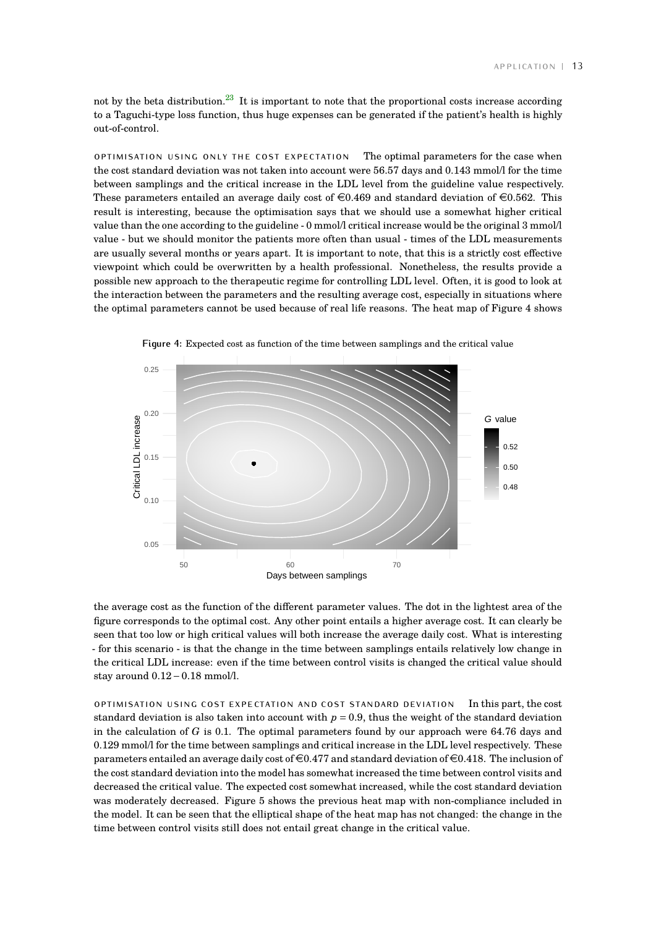not by the beta distribution.<sup>[23](#page-18-3)</sup> It is important to note that the proportional costs increase according to a Taguchi-type loss function, thus huge expenses can be generated if the patient's health is highly out-of-control.

optimisation using only the cost expectation The optimal parameters for the case when the cost standard deviation was not taken into account were 56.57 days and 0.143 mmol/l for the time between samplings and the critical increase in the LDL level from the guideline value respectively. These parameters entailed an average daily cost of  $\epsilon$ 0.469 and standard deviation of  $\epsilon$ 0.562. This result is interesting, because the optimisation says that we should use a somewhat higher critical value than the one according to the guideline - 0 mmol/l critical increase would be the original 3 mmol/l value - but we should monitor the patients more often than usual - times of the LDL measurements are usually several months or years apart. It is important to note, that this is a strictly cost effective viewpoint which could be overwritten by a health professional. Nonetheless, the results provide a possible new approach to the therapeutic regime for controlling LDL level. Often, it is good to look at the interaction between the parameters and the resulting average cost, especially in situations where the optimal parameters cannot be used because of real life reasons. The heat map of Figure 4 shows



**Figure 4:** Expected cost as function of the time between samplings and the critical value

the average cost as the function of the different parameter values. The dot in the lightest area of the figure corresponds to the optimal cost. Any other point entails a higher average cost. It can clearly be seen that too low or high critical values will both increase the average daily cost. What is interesting - for this scenario - is that the change in the time between samplings entails relatively low change in the critical LDL increase: even if the time between control visits is changed the critical value should stay around 0.12−0.18 mmol/l.

optimisation using cost expectation and cost standard deviation In this part, the cost standard deviation is also taken into account with  $p = 0.9$ , thus the weight of the standard deviation in the calculation of *G* is 0.1. The optimal parameters found by our approach were 64.76 days and 0.129 mmol/l for the time between samplings and critical increase in the LDL level respectively. These parameters entailed an average daily cost of  $\in 0.477$  and standard deviation of  $\in 0.418$ . The inclusion of the cost standard deviation into the model has somewhat increased the time between control visits and decreased the critical value. The expected cost somewhat increased, while the cost standard deviation was moderately decreased. Figure 5 shows the previous heat map with non-compliance included in the model. It can be seen that the elliptical shape of the heat map has not changed: the change in the time between control visits still does not entail great change in the critical value.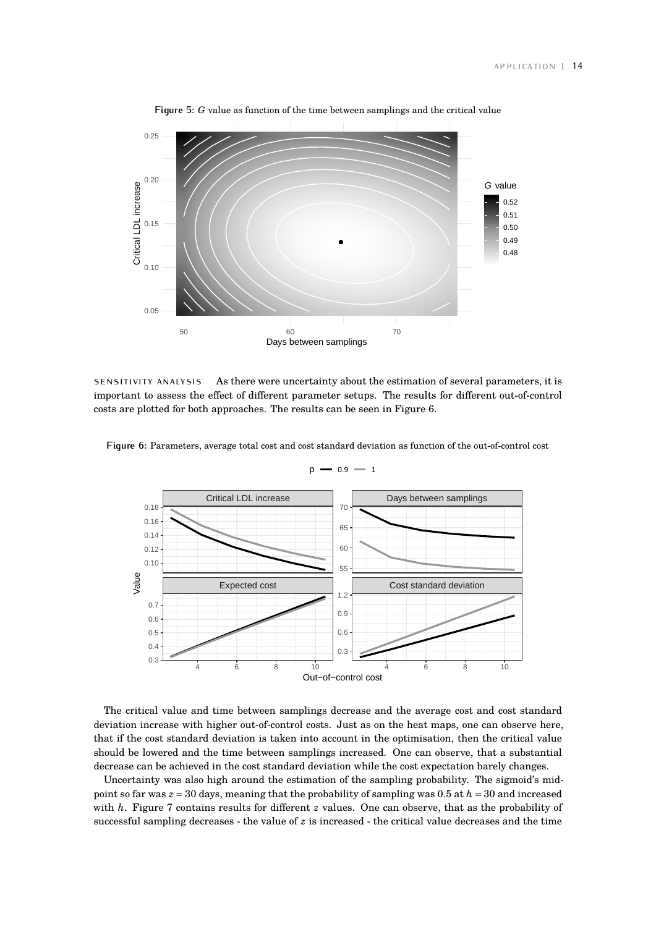

**Figure 5:** *G* value as function of the time between samplings and the critical value

sensitivity analysis As there were uncertainty about the estimation of several parameters, it is important to assess the effect of different parameter setups. The results for different out-of-control costs are plotted for both approaches. The results can be seen in Figure 6.



**Figure 6:** Parameters, average total cost and cost standard deviation as function of the out-of-control cost

 $p - 0.9 - 1$ 

The critical value and time between samplings decrease and the average cost and cost standard deviation increase with higher out-of-control costs. Just as on the heat maps, one can observe here, that if the cost standard deviation is taken into account in the optimisation, then the critical value should be lowered and the time between samplings increased. One can observe, that a substantial decrease can be achieved in the cost standard deviation while the cost expectation barely changes.

Uncertainty was also high around the estimation of the sampling probability. The sigmoid's midpoint so far was  $z = 30$  days, meaning that the probability of sampling was 0.5 at  $h = 30$  and increased with *h*. Figure 7 contains results for different *z* values. One can observe, that as the probability of successful sampling decreases - the value of *z* is increased - the critical value decreases and the time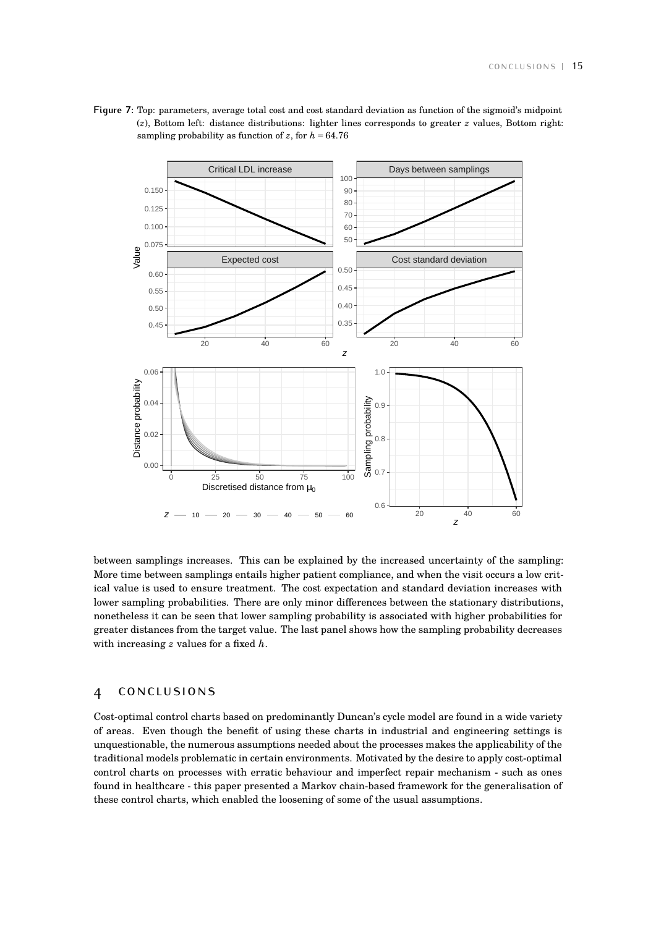

**Figure 7:** Top: parameters, average total cost and cost standard deviation as function of the sigmoid's midpoint (*z*), Bottom left: distance distributions: lighter lines corresponds to greater *z* values, Bottom right: sampling probability as function of  $z$ , for  $h = 64.76$ 

between samplings increases. This can be explained by the increased uncertainty of the sampling: More time between samplings entails higher patient compliance, and when the visit occurs a low critical value is used to ensure treatment. The cost expectation and standard deviation increases with lower sampling probabilities. There are only minor differences between the stationary distributions, nonetheless it can be seen that lower sampling probability is associated with higher probabilities for greater distances from the target value. The last panel shows how the sampling probability decreases with increasing *z* values for a fixed *h*.

# <span id="page-15-0"></span>4 conclusions

Cost-optimal control charts based on predominantly Duncan's cycle model are found in a wide variety of areas. Even though the benefit of using these charts in industrial and engineering settings is unquestionable, the numerous assumptions needed about the processes makes the applicability of the traditional models problematic in certain environments. Motivated by the desire to apply cost-optimal control charts on processes with erratic behaviour and imperfect repair mechanism - such as ones found in healthcare - this paper presented a Markov chain-based framework for the generalisation of these control charts, which enabled the loosening of some of the usual assumptions.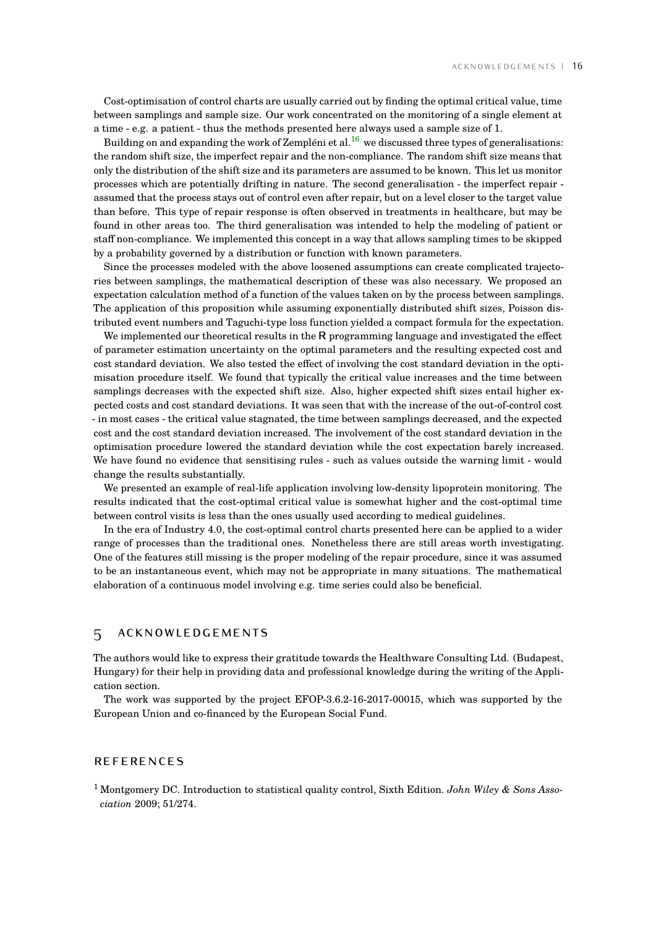Cost-optimisation of control charts are usually carried out by finding the optimal critical value, time between samplings and sample size. Our work concentrated on the monitoring of a single element at a time - e.g. a patient - thus the methods presented here always used a sample size of 1.

Building on and expanding the work of Zempléni et al.<sup>[16](#page-17-13)</sup> we discussed three types of generalisations: the random shift size, the imperfect repair and the non-compliance. The random shift size means that only the distribution of the shift size and its parameters are assumed to be known. This let us monitor processes which are potentially drifting in nature. The second generalisation - the imperfect repair assumed that the process stays out of control even after repair, but on a level closer to the target value than before. This type of repair response is often observed in treatments in healthcare, but may be found in other areas too. The third generalisation was intended to help the modeling of patient or staff non-compliance. We implemented this concept in a way that allows sampling times to be skipped by a probability governed by a distribution or function with known parameters.

Since the processes modeled with the above loosened assumptions can create complicated trajectories between samplings, the mathematical description of these was also necessary. We proposed an expectation calculation method of a function of the values taken on by the process between samplings. The application of this proposition while assuming exponentially distributed shift sizes, Poisson distributed event numbers and Taguchi-type loss function yielded a compact formula for the expectation.

We implemented our theoretical results in the **R** programming language and investigated the effect of parameter estimation uncertainty on the optimal parameters and the resulting expected cost and cost standard deviation. We also tested the effect of involving the cost standard deviation in the optimisation procedure itself. We found that typically the critical value increases and the time between samplings decreases with the expected shift size. Also, higher expected shift sizes entail higher expected costs and cost standard deviations. It was seen that with the increase of the out-of-control cost - in most cases - the critical value stagnated, the time between samplings decreased, and the expected cost and the cost standard deviation increased. The involvement of the cost standard deviation in the optimisation procedure lowered the standard deviation while the cost expectation barely increased. We have found no evidence that sensitising rules - such as values outside the warning limit - would change the results substantially.

We presented an example of real-life application involving low-density lipoprotein monitoring. The results indicated that the cost-optimal critical value is somewhat higher and the cost-optimal time between control visits is less than the ones usually used according to medical guidelines.

In the era of Industry 4.0, the cost-optimal control charts presented here can be applied to a wider range of processes than the traditional ones. Nonetheless there are still areas worth investigating. One of the features still missing is the proper modeling of the repair procedure, since it was assumed to be an instantaneous event, which may not be appropriate in many situations. The mathematical elaboration of a continuous model involving e.g. time series could also be beneficial.

# <span id="page-16-0"></span>5 acknowledgements

The authors would like to express their gratitude towards the Healthware Consulting Ltd. (Budapest, Hungary) for their help in providing data and professional knowledge during the writing of the Application section.

The work was supported by the project EFOP-3.6.2-16-2017-00015, which was supported by the European Union and co-financed by the European Social Fund.

# **REFERENCES**

<span id="page-16-1"></span><sup>1</sup> Montgomery DC. Introduction to statistical quality control, Sixth Edition. *John Wiley & Sons Association* 2009; 51/274.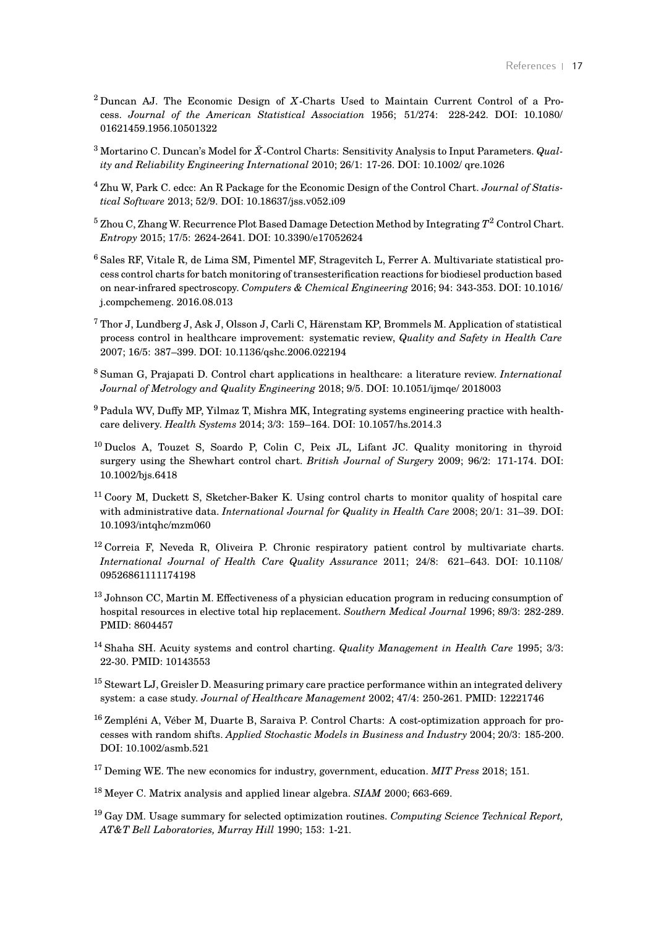- <span id="page-17-0"></span><sup>2</sup> Duncan AJ. The Economic Design of *X*-Charts Used to Maintain Current Control of a Process. *Journal of the American Statistical Association* 1956; 51/274: 228-242. DOI: 10.1080/ 01621459.1956.10501322
- <span id="page-17-14"></span><sup>3</sup> Mortarino C. Duncan's Model for  $\bar{X}$ -Control Charts: Sensitivity Analysis to Input Parameters. *Quality and Reliability Engineering International* 2010; 26/1: 17-26. DOI: 10.1002/ qre.1026
- <span id="page-17-1"></span><sup>4</sup> Zhu W, Park C. edcc: An R Package for the Economic Design of the Control Chart. *Journal of Statistical Software* 2013; 52/9. DOI: 10.18637/jss.v052.i09
- <span id="page-17-2"></span><sup>5</sup> Zhou C, Zhang W. Recurrence Plot Based Damage Detection Method by Integrating *T* 2 Control Chart. *Entropy* 2015; 17/5: 2624-2641. DOI: 10.3390/e17052624
- <span id="page-17-3"></span><sup>6</sup> Sales RF, Vitale R, de Lima SM, Pimentel MF, Stragevitch L, Ferrer A. Multivariate statistical process control charts for batch monitoring of transesterification reactions for biodiesel production based on near-infrared spectroscopy. *Computers & Chemical Engineering* 2016; 94: 343-353. DOI: 10.1016/ j.compchemeng. 2016.08.013
- <span id="page-17-4"></span><sup>7</sup> Thor J, Lundberg J, Ask J, Olsson J, Carli C, Härenstam KP, Brommels M. Application of statistical process control in healthcare improvement: systematic review, *Quality and Safety in Health Care* 2007; 16/5: 387–399. DOI: 10.1136/qshc.2006.022194
- <span id="page-17-5"></span><sup>8</sup> Suman G, Prajapati D. Control chart applications in healthcare: a literature review. *International Journal of Metrology and Quality Engineering* 2018; 9/5. DOI: 10.1051/ijmqe/ 2018003
- <span id="page-17-6"></span><sup>9</sup> Padula WV, Duffy MP, Yilmaz T, Mishra MK, Integrating systems engineering practice with healthcare delivery. *Health Systems* 2014; 3/3: 159–164. DOI: 10.1057/hs.2014.3
- <span id="page-17-7"></span><sup>10</sup> Duclos A, Touzet S, Soardo P, Colin C, Peix JL, Lifant JC. Quality monitoring in thyroid surgery using the Shewhart control chart. *British Journal of Surgery* 2009; 96/2: 171-174. DOI: 10.1002/bjs.6418
- <span id="page-17-8"></span> $11$  Coory M, Duckett S, Sketcher-Baker K. Using control charts to monitor quality of hospital care with administrative data. *International Journal for Quality in Health Care* 2008; 20/1: 31–39. DOI: 10.1093/intqhc/mzm060
- <span id="page-17-9"></span><sup>12</sup> Correia F, Neveda R, Oliveira P. Chronic respiratory patient control by multivariate charts. *International Journal of Health Care Quality Assurance* 2011; 24/8: 621–643. DOI: 10.1108/ 09526861111174198
- <span id="page-17-10"></span><sup>13</sup> Johnson CC, Martin M. Effectiveness of a physician education program in reducing consumption of hospital resources in elective total hip replacement. *Southern Medical Journal* 1996; 89/3: 282-289. PMID: 8604457
- <span id="page-17-11"></span><sup>14</sup> Shaha SH. Acuity systems and control charting. *Quality Management in Health Care* 1995; 3/3: 22-30. PMID: 10143553
- <span id="page-17-12"></span><sup>15</sup> Stewart LJ, Greisler D. Measuring primary care practice performance within an integrated delivery system: a case study. *Journal of Healthcare Management* 2002; 47/4: 250-261. PMID: 12221746
- <span id="page-17-13"></span><sup>16</sup> Zempléni A, Véber M, Duarte B, Saraiva P, Control Charts: A cost-optimization approach for processes with random shifts. *Applied Stochastic Models in Business and Industry* 2004; 20/3: 185-200. DOI: 10.1002/asmb.521
- <span id="page-17-15"></span><sup>17</sup> Deming WE. The new economics for industry, government, education. *MIT Press* 2018; 151.
- <span id="page-17-16"></span><sup>18</sup> Meyer C. Matrix analysis and applied linear algebra. *SIAM* 2000; 663-669.
- <span id="page-17-17"></span><sup>19</sup> Gay DM. Usage summary for selected optimization routines. *Computing Science Technical Report, AT&T Bell Laboratories, Murray Hill* 1990; 153: 1-21.